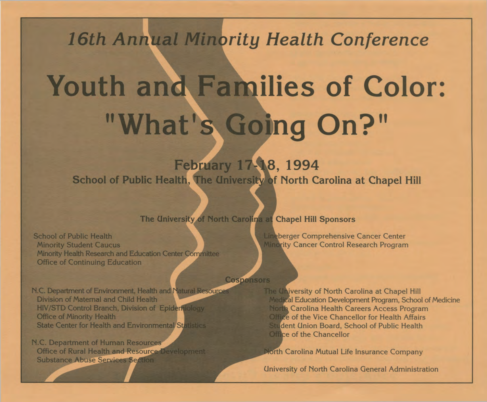*16th Annual Minority Health Conference*

# **Youth** and **Families of Color:** "What's Going On?"

**February 17-1^8, 1994** School of Public Health, The University of North Carolina at Chapel Hill

The University of North Carolina at Chapel Hill Sponsors

School of Public Health Minority Student Caucus Minority Health Research and Education Center Committee Office of Continuing Education

Cosponsors

N.C. Department of Environment, Health and Natural Resource Division of Maternal and Child Health HIV/STD Control Branch, Division of Epidemiology Office of Minority Health **State Center for Health and Environmental Statistics** 

N.C. Department of Human Resources Office of Rural Health and Resource Development **Substance Abuse Services Section** 

 $\overline{\phantom{a}}$ 

The University of North Carolina at Chapel Hill Medical Education Development Program, School of Medicine **North Carolina Health Careers Access Program** Office of the Vice Chancellor for Health Affairs **Student Union Board, School of Public Health** Office of the Chancellor

North Carolina Mutual Life Insurance Company

Lineberger Comprehensive Cancer Center Minority Cancer Control Research Program

University of North Carolina General Administration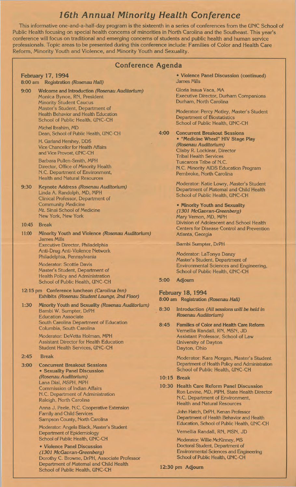## **16th Annual Minority Health Conference**

This informative one-and-a-half-day program is the sixteenth in a series of conferences from the UNC School of Public Health focusing on special health concerns of minorities in North Carolina and the Southeast. This year's conference will focus on traditional and emerging concerns of students and public health and human service professionals. Topic areas to be presented during this conference include: Families of Color and Health Care Reform, Minority Youth and Violence, and Minority Youth and Sexuality.

### aenda

|       | Conference Ag                                                                                                                                                                                                                       |              |
|-------|-------------------------------------------------------------------------------------------------------------------------------------------------------------------------------------------------------------------------------------|--------------|
|       | <b>February 17, 1994</b><br>8:00 am Registration (Rosenau Hall)                                                                                                                                                                     |              |
| 9:00  | Welcome and Introduction (Rosenau Auditorium)<br>Monica Bynoe, RN, President<br><b>Minority Student Caucus</b><br>Master's Student, Department of<br><b>Health Behavior and Health Education</b><br>School of Public Health, UNC-CH |              |
|       | Michel Ibrahim, MD<br>Dean, School of Public Health, UNC-CH                                                                                                                                                                         | 4:           |
|       | H. Garland Hershey, DDS<br><b>Vice Chancellor for Health Affairs</b><br>and Vice Provost, UNC-CH                                                                                                                                    |              |
|       | Barbara Pullen-Smith, MPH<br>Director, Office of Minority Health<br>N.C. Department of Environment,<br><b>Health and Natural Resources</b>                                                                                          |              |
| 9:30  | Keynote Address (Rosenau Auditorium)<br>Linda A. Randolph, MD, MPH<br>Clinical Professor, Department of<br><b>Community Medicine</b><br>Mt. Sinai School of Medicine<br>New York, New York                                          |              |
| 10:45 | <b>Break</b>                                                                                                                                                                                                                        |              |
| 11:00 | Minority Youth and Violence (Rosenau Auditorium)<br><b>James Mills</b><br>Executive Director, Philadelphia<br><b>Anti-Drug Anti-Violence Network</b><br>Philadelphia, Pennsylvania                                                  |              |
|       | <b>Moderator: Scottie Davis</b><br>Master's Student, Department of<br><b>Health Policy and Administration</b><br>School of Public Health, UNC-CH                                                                                    | 5:           |
|       | 12:15 pm Conference luncheon (Carolina Inn)<br>Exhibits (Rosenau Student Lounge, 2nd Floor)                                                                                                                                         | F<br>8:      |
| 1:30  | Minority Youth and Sexuality (Rosenau Auditorium)<br>Bambi W. Sumpter, DrPH<br><b>Education Associate</b><br>South Carolina Department of Education                                                                                 | 8:<br>8:     |
|       | Columbia, South Carolina<br>Moderator: DeVetta Holman, MPH<br><b>Assistant Director for Health Education</b><br><b>Student Health Services, UNC-CH</b>                                                                              |              |
| 2:45  | <b>Break</b>                                                                                                                                                                                                                        |              |
| 3:00  | <b>Concurrent Breakout Sessions</b><br>• Sexuality Panel Discussion                                                                                                                                                                 |              |
|       | (Rosenau Auditorium)<br>Lana Dial, MSPH, MPH                                                                                                                                                                                        | 1(           |
|       | <b>Commission of Indian Affairs</b><br>N.C. Department of Administration<br>Raleigh, North Carolina                                                                                                                                 | $\mathbf{1}$ |
|       | Anna J. Peele, N.C. Cooperative Extension<br><b>Family and Child Services</b><br>Sampson County, North Carolina                                                                                                                     |              |
|       | Moderator: Angela Black, Master's Student<br>Department of Epidemiology                                                                                                                                                             |              |

School of Public Health, UNC-CH **• Violence Panel Discussion** *(1301 McGavran-Greenberg)*

School of Public Health, UNC-CH

Dorothy C. Browne, DrPH, Associate Professor Department of Maternal and Child Health

**• Violence Panel Discussion (continued)** James Mills

Gloria Insua Vaca, MA Executive Director, Durham Companions Durham, North Carolina

Moderator: Percy Motley, Master's Student Department of Biostatistics School of Public Health, UNC-CH

**4:00 Concurrent Breakout Sessions • "Medicine Wheel" HIV Stage Play** *(Rosenau Auditorium)* Clisby R. Locklear, Director Tribal Health Services Tuscarora Tribe of N.C. N.C. Minority AIDS Education Program Pembroke, North Carolina

> Moderator: Katie Lowry, Master's Student Department of Maternal and Child Health School of Public Health, UNC-CH

**• Minority Youth and Sexuality** *(1301 McGavran-Greenberg)* Mary Vernon, MD, MPH Division of Adolescent and School Health Centers for Disease Control and Prevention Atlanta, Georgia

#### Bambi Sumpter, DrPH

Moderator: LaTonya Danzy Master's Student, Department of Environmental Sciences and Engineering, School of Public Health, UNC-CH

**5:00 Adjourn**

## **February 18, 1994**

**8:00 am Registration** *(Rosenau Hall)*

- **8:30 Introduction** *(All sessions will be held in Rosenau Auditorium)*
- **8:45 Families of Color and Health Care Reform** Vernellia Randall, RN, MSN, JD Assistant Professor, School of Law University of Dayton Dayton, Ohio

Moderator: Kara Morgan, Master's Student Department of Health Policy and Administration School of Public Health, UNC-CH

- **10:15 Break**
- **10:30 Health Care Reform Panel Discussion** Ron Levine, MD, MPH, State Health Director N.C. Department of Environment, Health and Natural Resources

John Hatch, DrPH, Kenan Professor Department of Health Behavior and Health Education, School of Public Health, UNC-CH

Vernellia Randall, RN, MSN, JD

Moderator: Willie McKinney, MS Doctoral Student, Department of Environmental Sciences and Engineering School of Public Health, UNC-CH

**12:30 pm Adjourn**